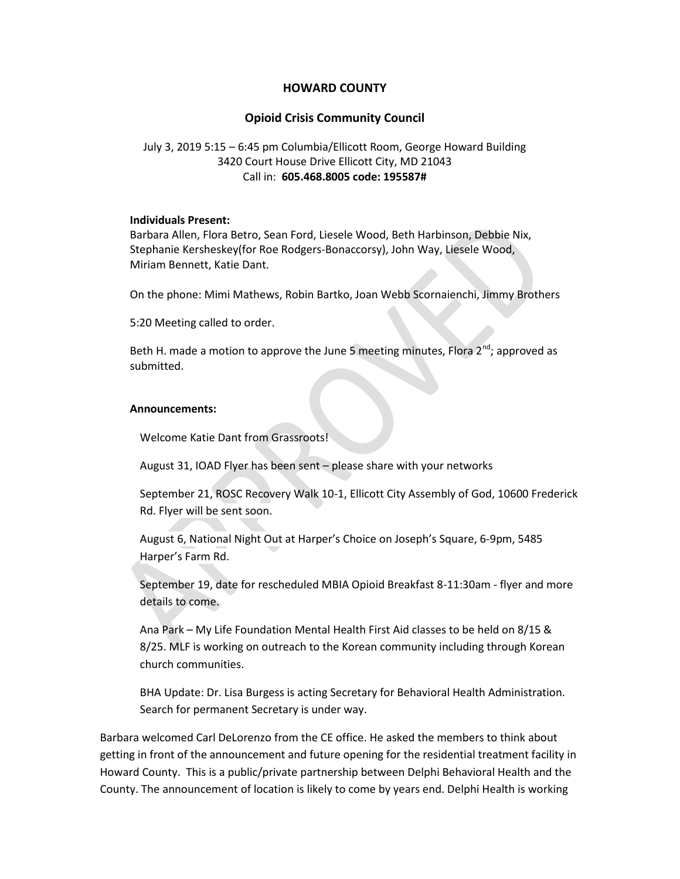# **HOWARD COUNTY**

# **Opioid Crisis Community Council**

# July 3, 2019 5:15 – 6:45 pm Columbia/Ellicott Room, George Howard Building 3420 Court House Drive Ellicott City, MD 21043 Call in: **605.468.8005 code: 195587#**

#### **Individuals Present:**

Barbara Allen, Flora Betro, Sean Ford, Liesele Wood, Beth Harbinson, Debbie Nix, Stephanie Kersheskey(for Roe Rodgers-Bonaccorsy), John Way, Liesele Wood, Miriam Bennett, Katie Dant.

On the phone: Mimi Mathews, Robin Bartko, Joan Webb Scornaienchi, Jimmy Brothers

5:20 Meeting called to order.

Beth H. made a motion to approve the June 5 meeting minutes, Flora  $2<sup>nd</sup>$ ; approved as submitted.

### **Announcements:**

Welcome Katie Dant from Grassroots!

August 31, IOAD Flyer has been sent – please share with your networks

September 21, ROSC Recovery Walk 10-1, Ellicott City Assembly of God, 10600 Frederick Rd. Flyer will be sent soon.

August 6, National Night Out at Harper's Choice on Joseph's Square, 6-9pm, 5485 Harper's Farm Rd.

September 19, date for rescheduled MBIA Opioid Breakfast 8-11:30am - flyer and more details to come.

Ana Park – My Life Foundation Mental Health First Aid classes to be held on 8/15 & 8/25. MLF is working on outreach to the Korean community including through Korean church communities.

BHA Update: Dr. Lisa Burgess is acting Secretary for Behavioral Health Administration. Search for permanent Secretary is under way.

Barbara welcomed Carl DeLorenzo from the CE office. He asked the members to think about getting in front of the announcement and future opening for the residential treatment facility in Howard County. This is a public/private partnership between Delphi Behavioral Health and the County. The announcement of location is likely to come by years end. Delphi Health is working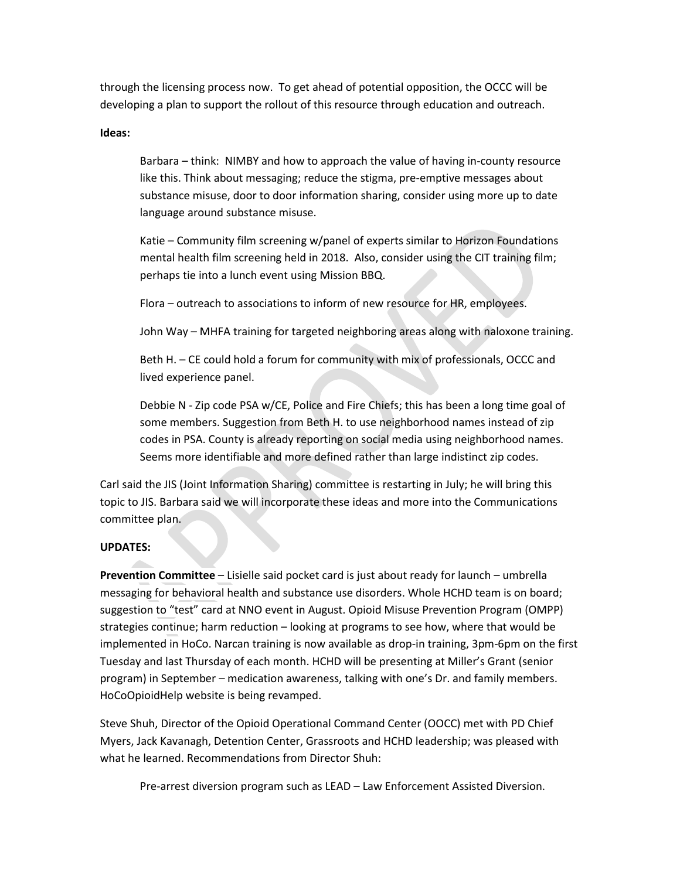through the licensing process now. To get ahead of potential opposition, the OCCC will be developing a plan to support the rollout of this resource through education and outreach.

### **Ideas:**

Barbara – think: NIMBY and how to approach the value of having in-county resource like this. Think about messaging; reduce the stigma, pre-emptive messages about substance misuse, door to door information sharing, consider using more up to date language around substance misuse.

Katie – Community film screening w/panel of experts similar to Horizon Foundations mental health film screening held in 2018. Also, consider using the CIT training film; perhaps tie into a lunch event using Mission BBQ.

Flora – outreach to associations to inform of new resource for HR, employees.

John Way – MHFA training for targeted neighboring areas along with naloxone training.

Beth H. – CE could hold a forum for community with mix of professionals, OCCC and lived experience panel.

Debbie N - Zip code PSA w/CE, Police and Fire Chiefs; this has been a long time goal of some members. Suggestion from Beth H. to use neighborhood names instead of zip codes in PSA. County is already reporting on social media using neighborhood names. Seems more identifiable and more defined rather than large indistinct zip codes.

Carl said the JIS (Joint Information Sharing) committee is restarting in July; he will bring this topic to JIS. Barbara said we will incorporate these ideas and more into the Communications committee plan.

## **UPDATES:**

**Prevention Committee** – Lisielle said pocket card is just about ready for launch – umbrella messaging for behavioral health and substance use disorders. Whole HCHD team is on board; suggestion to "test" card at NNO event in August. Opioid Misuse Prevention Program (OMPP) strategies continue; harm reduction – looking at programs to see how, where that would be implemented in HoCo. Narcan training is now available as drop-in training, 3pm-6pm on the first Tuesday and last Thursday of each month. HCHD will be presenting at Miller's Grant (senior program) in September – medication awareness, talking with one's Dr. and family members. HoCoOpioidHelp website is being revamped.

Steve Shuh, Director of the Opioid Operational Command Center (OOCC) met with PD Chief Myers, Jack Kavanagh, Detention Center, Grassroots and HCHD leadership; was pleased with what he learned. Recommendations from Director Shuh:

Pre-arrest diversion program such as LEAD – Law Enforcement Assisted Diversion.